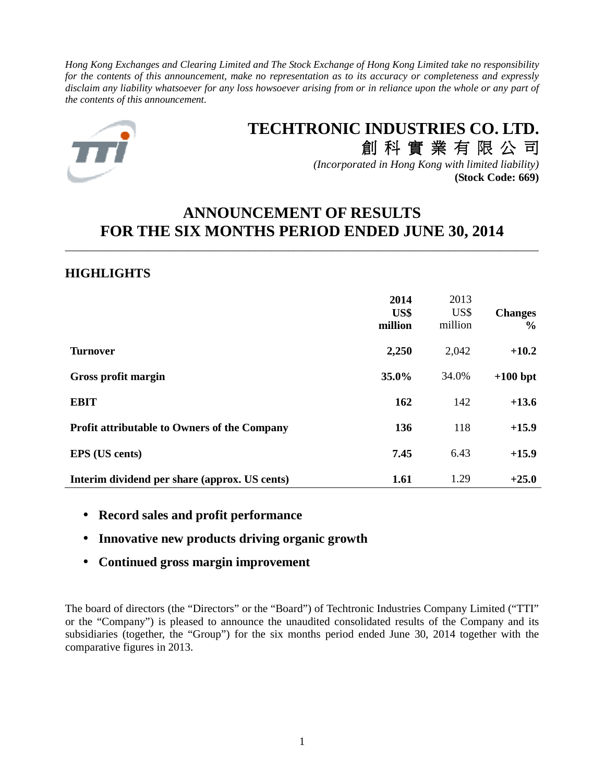*Hong Kong Exchanges and Clearing Limited and The Stock Exchange of Hong Kong Limited take no responsibility for the contents of this announcement, make no representation as to its accuracy or completeness and expressly disclaim any liability whatsoever for any loss howsoever arising from or in reliance upon the whole or any part of the contents of this announcement.* 



# **TECHTRONIC INDUSTRIES CO. LTD.**

創 科 實 業 有 限 公 司 *(Incorporated in Hong Kong with limited liability)* **(Stock Code: 669)**

## **ANNOUNCEMENT OF RESULTS FOR THE SIX MONTHS PERIOD ENDED JUNE 30, 2014**

\_\_\_\_\_\_\_\_\_\_\_\_\_\_\_\_\_\_\_\_\_\_\_\_\_\_\_\_\_\_\_\_\_\_\_\_\_\_\_\_\_\_\_\_\_\_\_\_\_\_\_\_\_\_\_\_\_\_\_\_\_\_\_\_\_\_\_\_\_\_\_\_\_\_\_\_\_\_\_\_\_\_\_\_\_

## **HIGHLIGHTS**

|                                                     | 2014<br>US\$<br>million | 2013<br>US\$<br>million | <b>Changes</b><br>$\frac{6}{6}$ |
|-----------------------------------------------------|-------------------------|-------------------------|---------------------------------|
| <b>Turnover</b>                                     | 2,250                   | 2,042                   | $+10.2$                         |
| Gross profit margin                                 | 35.0%                   | 34.0%                   | $+100$ bpt                      |
| <b>EBIT</b>                                         | 162                     | 142                     | $+13.6$                         |
| <b>Profit attributable to Owners of the Company</b> | 136                     | 118                     | $+15.9$                         |
| <b>EPS</b> (US cents)                               | 7.45                    | 6.43                    | $+15.9$                         |
| Interim dividend per share (approx. US cents)       | 1.61                    | 1.29                    | $+25.0$                         |

- **Record sales and profit performance**
- **Innovative new products driving organic growth**
- **Continued gross margin improvement**

The board of directors (the "Directors" or the "Board") of Techtronic Industries Company Limited ("TTI" or the "Company") is pleased to announce the unaudited consolidated results of the Company and its subsidiaries (together, the "Group") for the six months period ended June 30, 2014 together with the comparative figures in 2013.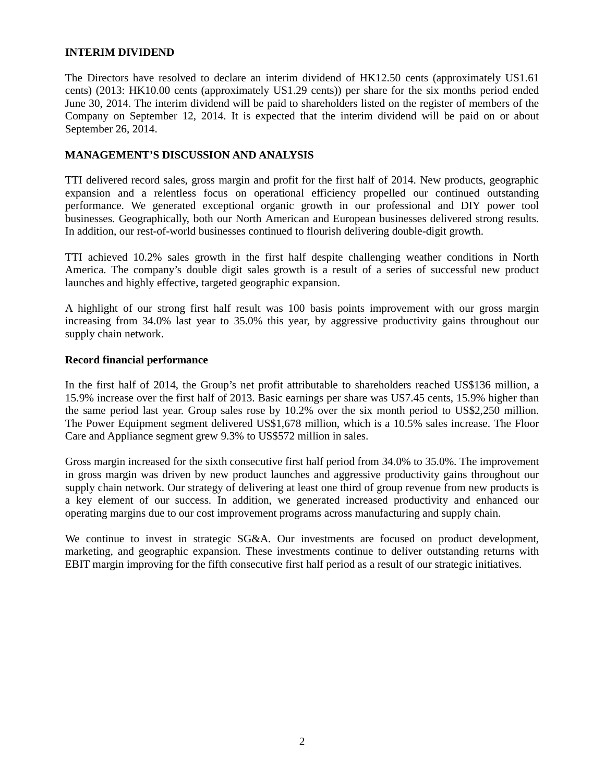## **INTERIM DIVIDEND**

The Directors have resolved to declare an interim dividend of HK12.50 cents (approximately US1.61 cents) (2013: HK10.00 cents (approximately US1.29 cents)) per share for the six months period ended June 30, 2014. The interim dividend will be paid to shareholders listed on the register of members of the Company on September 12, 2014. It is expected that the interim dividend will be paid on or about September 26, 2014.

## **MANAGEMENT'S DISCUSSION AND ANALYSIS**

TTI delivered record sales, gross margin and profit for the first half of 2014. New products, geographic expansion and a relentless focus on operational efficiency propelled our continued outstanding performance. We generated exceptional organic growth in our professional and DIY power tool businesses. Geographically, both our North American and European businesses delivered strong results. In addition, our rest-of-world businesses continued to flourish delivering double-digit growth.

TTI achieved 10.2% sales growth in the first half despite challenging weather conditions in North America. The company's double digit sales growth is a result of a series of successful new product launches and highly effective, targeted geographic expansion.

A highlight of our strong first half result was 100 basis points improvement with our gross margin increasing from 34.0% last year to 35.0% this year, by aggressive productivity gains throughout our supply chain network.

### **Record financial performance**

In the first half of 2014, the Group's net profit attributable to shareholders reached US\$136 million, a 15.9% increase over the first half of 2013. Basic earnings per share was US7.45 cents, 15.9% higher than the same period last year. Group sales rose by 10.2% over the six month period to US\$2,250 million. The Power Equipment segment delivered US\$1,678 million, which is a 10.5% sales increase. The Floor Care and Appliance segment grew 9.3% to US\$572 million in sales.

Gross margin increased for the sixth consecutive first half period from 34.0% to 35.0%. The improvement in gross margin was driven by new product launches and aggressive productivity gains throughout our supply chain network. Our strategy of delivering at least one third of group revenue from new products is a key element of our success. In addition, we generated increased productivity and enhanced our operating margins due to our cost improvement programs across manufacturing and supply chain.

We continue to invest in strategic SG&A. Our investments are focused on product development, marketing, and geographic expansion. These investments continue to deliver outstanding returns with EBIT margin improving for the fifth consecutive first half period as a result of our strategic initiatives.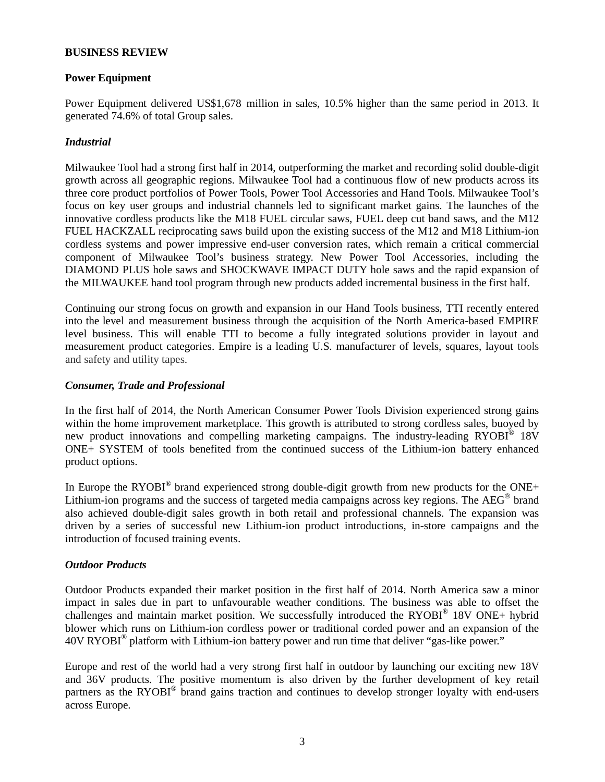## **BUSINESS REVIEW**

## **Power Equipment**

Power Equipment delivered US\$1,678 million in sales, 10.5% higher than the same period in 2013. It generated 74.6% of total Group sales.

## *Industrial*

Milwaukee Tool had a strong first half in 2014, outperforming the market and recording solid double-digit growth across all geographic regions. Milwaukee Tool had a continuous flow of new products across its three core product portfolios of Power Tools, Power Tool Accessories and Hand Tools. Milwaukee Tool's focus on key user groups and industrial channels led to significant market gains. The launches of the innovative cordless products like the M18 FUEL circular saws, FUEL deep cut band saws, and the M12 FUEL HACKZALL reciprocating saws build upon the existing success of the M12 and M18 Lithium-ion cordless systems and power impressive end-user conversion rates, which remain a critical commercial component of Milwaukee Tool's business strategy. New Power Tool Accessories, including the DIAMOND PLUS hole saws and SHOCKWAVE IMPACT DUTY hole saws and the rapid expansion of the MILWAUKEE hand tool program through new products added incremental business in the first half.

Continuing our strong focus on growth and expansion in our Hand Tools business, TTI recently entered into the level and measurement business through the acquisition of the North America-based EMPIRE level business. This will enable TTI to become a fully integrated solutions provider in layout and measurement product categories. Empire is a leading U.S. manufacturer of levels, squares, layout tools and safety and utility tapes.

## *Consumer, Trade and Professional*

In the first half of 2014, the North American Consumer Power Tools Division experienced strong gains within the home improvement marketplace. This growth is attributed to strong cordless sales, buoyed by new product innovations and compelling marketing campaigns. The industry-leading RYOBI<sup>®</sup> 18V ONE+ SYSTEM of tools benefited from the continued success of the Lithium-ion battery enhanced product options.

In Europe the RYOBI<sup>®</sup> brand experienced strong double-digit growth from new products for the ONE+ Lithium-ion programs and the success of targeted media campaigns across key regions. The AEG® brand also achieved double-digit sales growth in both retail and professional channels. The expansion was driven by a series of successful new Lithium-ion product introductions, in-store campaigns and the introduction of focused training events.

## *Outdoor Products*

Outdoor Products expanded their market position in the first half of 2014. North America saw a minor impact in sales due in part to unfavourable weather conditions. The business was able to offset the challenges and maintain market position. We successfully introduced the RYOBI® 18V ONE+ hybrid blower which runs on Lithium-ion cordless power or traditional corded power and an expansion of the 40V RYOBI® platform with Lithium-ion battery power and run time that deliver "gas-like power."

Europe and rest of the world had a very strong first half in outdoor by launching our exciting new 18V and 36V products. The positive momentum is also driven by the further development of key retail partners as the RYOBI<sup>®</sup> brand gains traction and continues to develop stronger loyalty with end-users across Europe.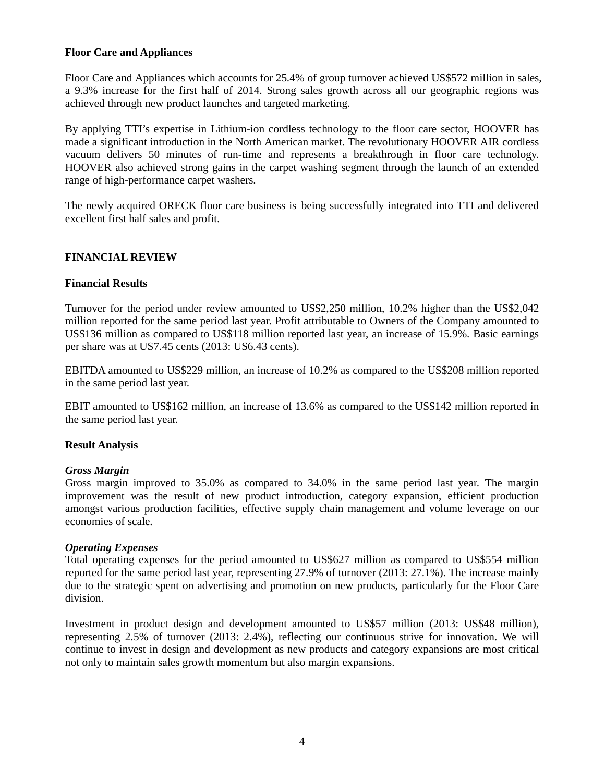## **Floor Care and Appliances**

Floor Care and Appliances which accounts for 25.4% of group turnover achieved US\$572 million in sales, a 9.3% increase for the first half of 2014. Strong sales growth across all our geographic regions was achieved through new product launches and targeted marketing.

By applying TTI's expertise in Lithium-ion cordless technology to the floor care sector, HOOVER has made a significant introduction in the North American market. The revolutionary HOOVER AIR cordless vacuum delivers 50 minutes of run-time and represents a breakthrough in floor care technology. HOOVER also achieved strong gains in the carpet washing segment through the launch of an extended range of high-performance carpet washers.

The newly acquired ORECK floor care business is being successfully integrated into TTI and delivered excellent first half sales and profit.

## **FINANCIAL REVIEW**

## **Financial Results**

Turnover for the period under review amounted to US\$2,250 million, 10.2% higher than the US\$2,042 million reported for the same period last year. Profit attributable to Owners of the Company amounted to US\$136 million as compared to US\$118 million reported last year, an increase of 15.9%. Basic earnings per share was at US7.45 cents (2013: US6.43 cents).

EBITDA amounted to US\$229 million, an increase of 10.2% as compared to the US\$208 million reported in the same period last year.

EBIT amounted to US\$162 million, an increase of 13.6% as compared to the US\$142 million reported in the same period last year.

## **Result Analysis**

#### *Gross Margin*

Gross margin improved to 35.0% as compared to 34.0% in the same period last year. The margin improvement was the result of new product introduction, category expansion, efficient production amongst various production facilities, effective supply chain management and volume leverage on our economies of scale.

#### *Operating Expenses*

Total operating expenses for the period amounted to US\$627 million as compared to US\$554 million reported for the same period last year, representing 27.9% of turnover (2013: 27.1%). The increase mainly due to the strategic spent on advertising and promotion on new products, particularly for the Floor Care division.

Investment in product design and development amounted to US\$57 million (2013: US\$48 million), representing 2.5% of turnover (2013: 2.4%), reflecting our continuous strive for innovation. We will continue to invest in design and development as new products and category expansions are most critical not only to maintain sales growth momentum but also margin expansions.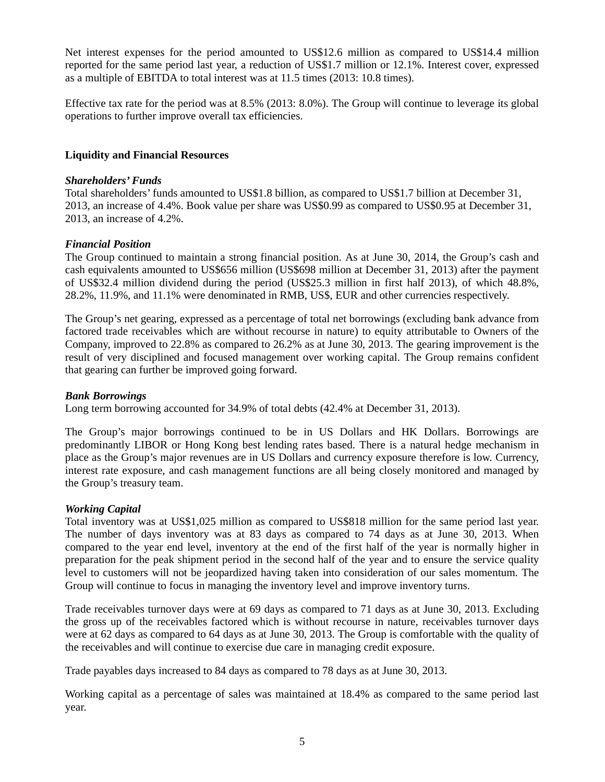Net interest expenses for the period amounted to US\$12.6 million as compared to US\$14.4 million reported for the same period last year, a reduction of US\$1.7 million or 12.1%. Interest cover, expressed as a multiple of EBITDA to total interest was at 11.5 times (2013: 10.8 times).

Effective tax rate for the period was at 8.5% (2013: 8.0%). The Group will continue to leverage its global operations to further improve overall tax efficiencies.

## **Liquidity and Financial Resources**

## *Shareholders' Funds*

Total shareholders' funds amounted to US\$1.8 billion, as compared to US\$1.7 billion at December 31, 2013, an increase of 4.4%. Book value per share was US\$0.99 as compared to US\$0.95 at December 31, 2013, an increase of 4.2%.

## *Financial Position*

The Group continued to maintain a strong financial position. As at June 30, 2014, the Group's cash and cash equivalents amounted to US\$656 million (US\$698 million at December 31, 2013) after the payment of US\$32.4 million dividend during the period (US\$25.3 million in first half 2013), of which 48.8%, 28.2%, 11.9%, and 11.1% were denominated in RMB, US\$, EUR and other currencies respectively.

The Group's net gearing, expressed as a percentage of total net borrowings (excluding bank advance from factored trade receivables which are without recourse in nature) to equity attributable to Owners of the Company, improved to 22.8% as compared to 26.2% as at June 30, 2013. The gearing improvement is the result of very disciplined and focused management over working capital. The Group remains confident that gearing can further be improved going forward.

## *Bank Borrowings*

Long term borrowing accounted for 34.9% of total debts (42.4% at December 31, 2013).

The Group's major borrowings continued to be in US Dollars and HK Dollars. Borrowings are predominantly LIBOR or Hong Kong best lending rates based. There is a natural hedge mechanism in place as the Group's major revenues are in US Dollars and currency exposure therefore is low. Currency, interest rate exposure, and cash management functions are all being closely monitored and managed by the Group's treasury team.

## *Working Capital*

Total inventory was at US\$1,025 million as compared to US\$818 million for the same period last year. The number of days inventory was at 83 days as compared to 74 days as at June 30, 2013. When compared to the year end level, inventory at the end of the first half of the year is normally higher in preparation for the peak shipment period in the second half of the year and to ensure the service quality level to customers will not be jeopardized having taken into consideration of our sales momentum. The Group will continue to focus in managing the inventory level and improve inventory turns.

Trade receivables turnover days were at 69 days as compared to 71 days as at June 30, 2013. Excluding the gross up of the receivables factored which is without recourse in nature, receivables turnover days were at 62 days as compared to 64 days as at June 30, 2013. The Group is comfortable with the quality of the receivables and will continue to exercise due care in managing credit exposure.

Trade payables days increased to 84 days as compared to 78 days as at June 30, 2013.

Working capital as a percentage of sales was maintained at 18.4% as compared to the same period last year.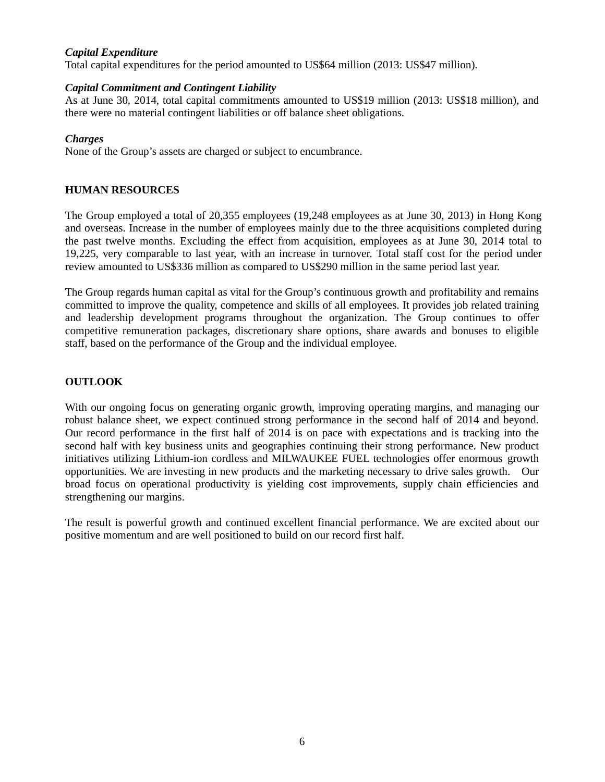## *Capital Expenditure*

Total capital expenditures for the period amounted to US\$64 million (2013: US\$47 million).

## *Capital Commitment and Contingent Liability*

As at June 30, 2014, total capital commitments amounted to US\$19 million (2013: US\$18 million), and there were no material contingent liabilities or off balance sheet obligations.

## *Charges*

None of the Group's assets are charged or subject to encumbrance.

## **HUMAN RESOURCES**

The Group employed a total of 20,355 employees (19,248 employees as at June 30, 2013) in Hong Kong and overseas. Increase in the number of employees mainly due to the three acquisitions completed during the past twelve months. Excluding the effect from acquisition, employees as at June 30, 2014 total to 19,225, very comparable to last year, with an increase in turnover. Total staff cost for the period under review amounted to US\$336 million as compared to US\$290 million in the same period last year.

The Group regards human capital as vital for the Group's continuous growth and profitability and remains committed to improve the quality, competence and skills of all employees. It provides job related training and leadership development programs throughout the organization. The Group continues to offer competitive remuneration packages, discretionary share options, share awards and bonuses to eligible staff, based on the performance of the Group and the individual employee.

## **OUTLOOK**

With our ongoing focus on generating organic growth, improving operating margins, and managing our robust balance sheet, we expect continued strong performance in the second half of 2014 and beyond. Our record performance in the first half of 2014 is on pace with expectations and is tracking into the second half with key business units and geographies continuing their strong performance. New product initiatives utilizing Lithium-ion cordless and MILWAUKEE FUEL technologies offer enormous growth opportunities. We are investing in new products and the marketing necessary to drive sales growth. Our broad focus on operational productivity is yielding cost improvements, supply chain efficiencies and strengthening our margins.

The result is powerful growth and continued excellent financial performance. We are excited about our positive momentum and are well positioned to build on our record first half.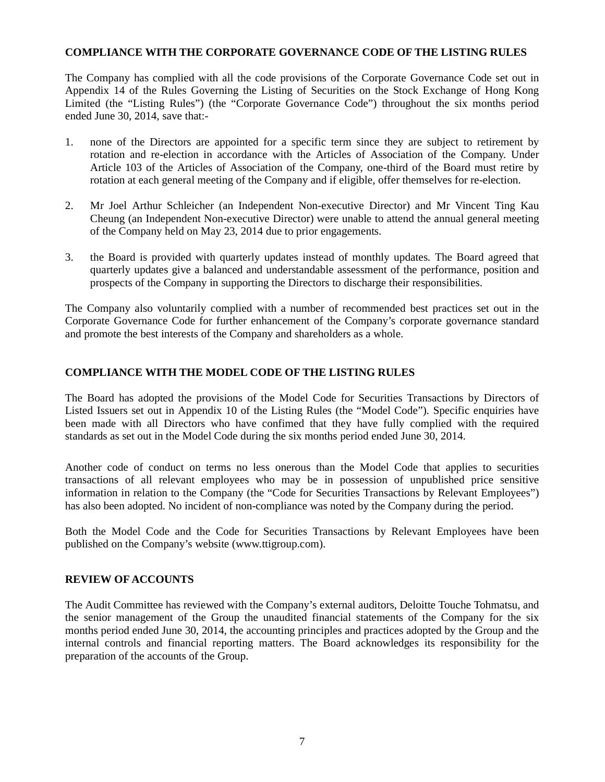## **COMPLIANCE WITH THE CORPORATE GOVERNANCE CODE OF THE LISTING RULES**

The Company has complied with all the code provisions of the Corporate Governance Code set out in Appendix 14 of the Rules Governing the Listing of Securities on the Stock Exchange of Hong Kong Limited (the "Listing Rules") (the "Corporate Governance Code") throughout the six months period ended June 30, 2014, save that:-

- 1. none of the Directors are appointed for a specific term since they are subject to retirement by rotation and re-election in accordance with the Articles of Association of the Company. Under Article 103 of the Articles of Association of the Company, one-third of the Board must retire by rotation at each general meeting of the Company and if eligible, offer themselves for re-election.
- 2. Mr Joel Arthur Schleicher (an Independent Non-executive Director) and Mr Vincent Ting Kau Cheung (an Independent Non-executive Director) were unable to attend the annual general meeting of the Company held on May 23, 2014 due to prior engagements.
- 3. the Board is provided with quarterly updates instead of monthly updates. The Board agreed that quarterly updates give a balanced and understandable assessment of the performance, position and prospects of the Company in supporting the Directors to discharge their responsibilities.

The Company also voluntarily complied with a number of recommended best practices set out in the Corporate Governance Code for further enhancement of the Company's corporate governance standard and promote the best interests of the Company and shareholders as a whole.

## **COMPLIANCE WITH THE MODEL CODE OF THE LISTING RULES**

The Board has adopted the provisions of the Model Code for Securities Transactions by Directors of Listed Issuers set out in Appendix 10 of the Listing Rules (the "Model Code"). Specific enquiries have been made with all Directors who have confimed that they have fully complied with the required standards as set out in the Model Code during the six months period ended June 30, 2014.

Another code of conduct on terms no less onerous than the Model Code that applies to securities transactions of all relevant employees who may be in possession of unpublished price sensitive information in relation to the Company (the "Code for Securities Transactions by Relevant Employees") has also been adopted. No incident of non-compliance was noted by the Company during the period.

Both the Model Code and the Code for Securities Transactions by Relevant Employees have been published on the Company's website (www.ttigroup.com).

## **REVIEW OF ACCOUNTS**

The Audit Committee has reviewed with the Company's external auditors, Deloitte Touche Tohmatsu, and the senior management of the Group the unaudited financial statements of the Company for the six months period ended June 30, 2014, the accounting principles and practices adopted by the Group and the internal controls and financial reporting matters. The Board acknowledges its responsibility for the preparation of the accounts of the Group.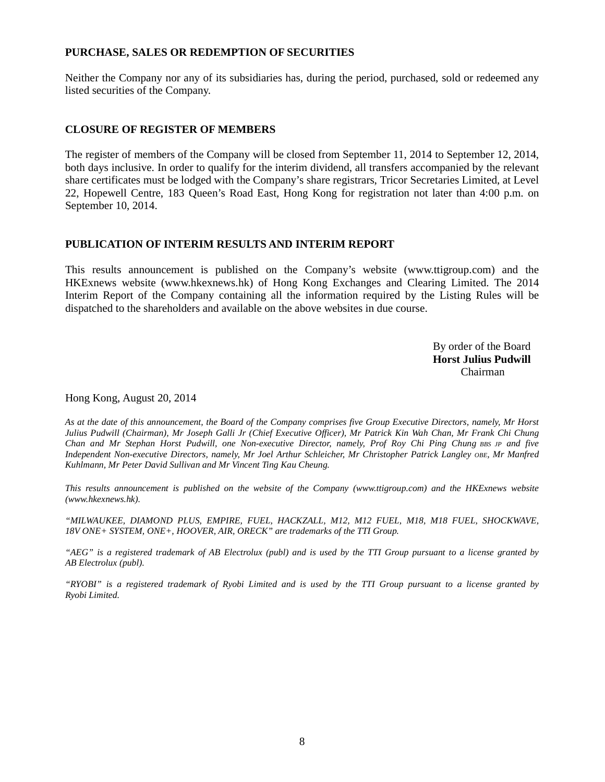## **PURCHASE, SALES OR REDEMPTION OF SECURITIES**

Neither the Company nor any of its subsidiaries has, during the period, purchased, sold or redeemed any listed securities of the Company.

## **CLOSURE OF REGISTER OF MEMBERS**

The register of members of the Company will be closed from September 11, 2014 to September 12, 2014, both days inclusive. In order to qualify for the interim dividend, all transfers accompanied by the relevant share certificates must be lodged with the Company's share registrars, Tricor Secretaries Limited, at Level 22, Hopewell Centre, 183 Queen's Road East, Hong Kong for registration not later than 4:00 p.m. on September 10, 2014.

## **PUBLICATION OF INTERIM RESULTS AND INTERIM REPORT**

This results announcement is published on the Company's website (www.ttigroup.com) and the HKExnews website (www.hkexnews.hk) of Hong Kong Exchanges and Clearing Limited. The 2014 Interim Report of the Company containing all the information required by the Listing Rules will be dispatched to the shareholders and available on the above websites in due course.

> By order of the Board **Horst Julius Pudwill**  Chairman

Hong Kong, August 20, 2014

*As at the date of this announcement, the Board of the Company comprises five Group Executive Directors, namely, Mr Horst Julius Pudwill (Chairman), Mr Joseph Galli Jr (Chief Executive Officer), Mr Patrick Kin Wah Chan, Mr Frank Chi Chung Chan and Mr Stephan Horst Pudwill, one Non-executive Director, namely, Prof Roy Chi Ping Chung BBS JP and five Independent Non-executive Directors, namely, Mr Joel Arthur Schleicher, Mr Christopher Patrick Langley OBE, Mr Manfred Kuhlmann, Mr Peter David Sullivan and Mr Vincent Ting Kau Cheung.* 

*This results announcement is published on the website of the Company (www.ttigroup.com) and the HKExnews website (www.hkexnews.hk).* 

*"MILWAUKEE, DIAMOND PLUS, EMPIRE, FUEL, HACKZALL, M12, M12 FUEL, M18, M18 FUEL, SHOCKWAVE, 18V ONE+ SYSTEM, ONE+, HOOVER, AIR, ORECK" are trademarks of the TTI Group.* 

*"AEG" is a registered trademark of AB Electrolux (publ) and is used by the TTI Group pursuant to a license granted by AB Electrolux (publ).* 

*"RYOBI" is a registered trademark of Ryobi Limited and is used by the TTI Group pursuant to a license granted by Ryobi Limited.*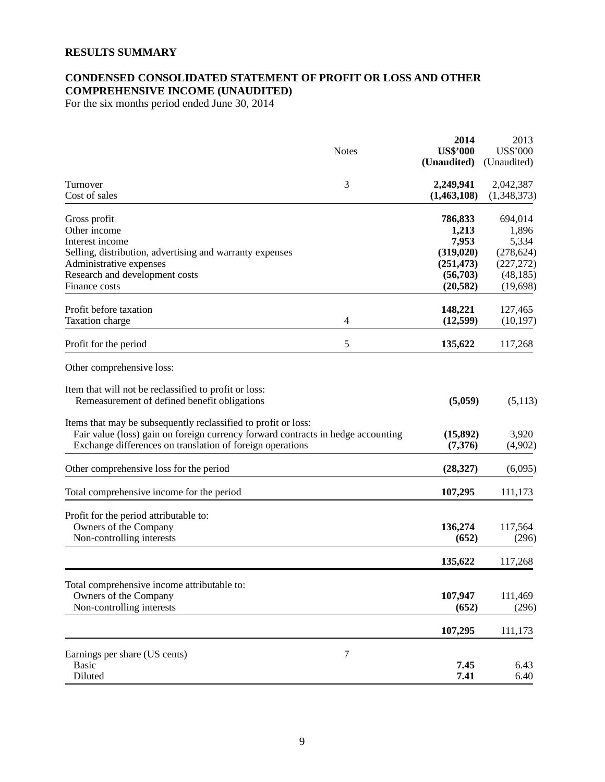## **RESULTS SUMMARY**

## **CONDENSED CONSOLIDATED STATEMENT OF PROFIT OR LOSS AND OTHER COMPREHENSIVE INCOME (UNAUDITED)**

For the six months period ended June 30, 2014

|                                                                                                                                                                                                                 | <b>Notes</b>   | 2014<br><b>US\$'000</b><br>(Unaudited) | 2013<br><b>US\$'000</b><br>(Unaudited) |
|-----------------------------------------------------------------------------------------------------------------------------------------------------------------------------------------------------------------|----------------|----------------------------------------|----------------------------------------|
| Turnover<br>Cost of sales                                                                                                                                                                                       | 3              | 2,249,941<br>(1,463,108)               | 2,042,387<br>(1,348,373)               |
| Gross profit                                                                                                                                                                                                    |                | 786,833                                | 694,014                                |
| Other income                                                                                                                                                                                                    |                | 1,213                                  | 1,896                                  |
| Interest income                                                                                                                                                                                                 |                | 7,953                                  | 5,334                                  |
| Selling, distribution, advertising and warranty expenses                                                                                                                                                        |                | (319, 020)                             | (278, 624)                             |
| Administrative expenses                                                                                                                                                                                         |                | (251, 473)                             | (227, 272)                             |
| Research and development costs                                                                                                                                                                                  |                | (56,703)                               | (48, 185)                              |
| Finance costs                                                                                                                                                                                                   |                | (20, 582)                              | (19,698)                               |
| Profit before taxation                                                                                                                                                                                          |                | 148,221                                | 127,465                                |
| Taxation charge                                                                                                                                                                                                 | $\overline{4}$ | (12,599)                               | (10, 197)                              |
| Profit for the period                                                                                                                                                                                           | 5              | 135,622                                | 117,268                                |
| Other comprehensive loss:                                                                                                                                                                                       |                |                                        |                                        |
| Item that will not be reclassified to profit or loss:<br>Remeasurement of defined benefit obligations                                                                                                           |                | (5,059)                                | (5,113)                                |
| Items that may be subsequently reclassified to profit or loss:<br>Fair value (loss) gain on foreign currency forward contracts in hedge accounting<br>Exchange differences on translation of foreign operations |                | (15,892)<br>(7,376)                    | 3,920<br>(4,902)                       |
| Other comprehensive loss for the period                                                                                                                                                                         |                | (28, 327)                              | (6,095)                                |
| Total comprehensive income for the period                                                                                                                                                                       |                | 107,295                                | 111,173                                |
| Profit for the period attributable to:                                                                                                                                                                          |                |                                        |                                        |
| Owners of the Company                                                                                                                                                                                           |                | 136,274                                | 117,564                                |
| Non-controlling interests                                                                                                                                                                                       |                | (652)                                  | (296)                                  |
|                                                                                                                                                                                                                 |                | 135,622                                | 117,268                                |
| Total comprehensive income attributable to:                                                                                                                                                                     |                |                                        |                                        |
| Owners of the Company                                                                                                                                                                                           |                | 107,947                                | 111,469                                |
| Non-controlling interests                                                                                                                                                                                       |                | (652)                                  | (296)                                  |
|                                                                                                                                                                                                                 |                | 107,295                                | 111,173                                |
| Earnings per share (US cents)                                                                                                                                                                                   | $\tau$         |                                        |                                        |
| <b>Basic</b>                                                                                                                                                                                                    |                | 7.45                                   | 6.43                                   |
| Diluted                                                                                                                                                                                                         |                | 7.41                                   | 6.40                                   |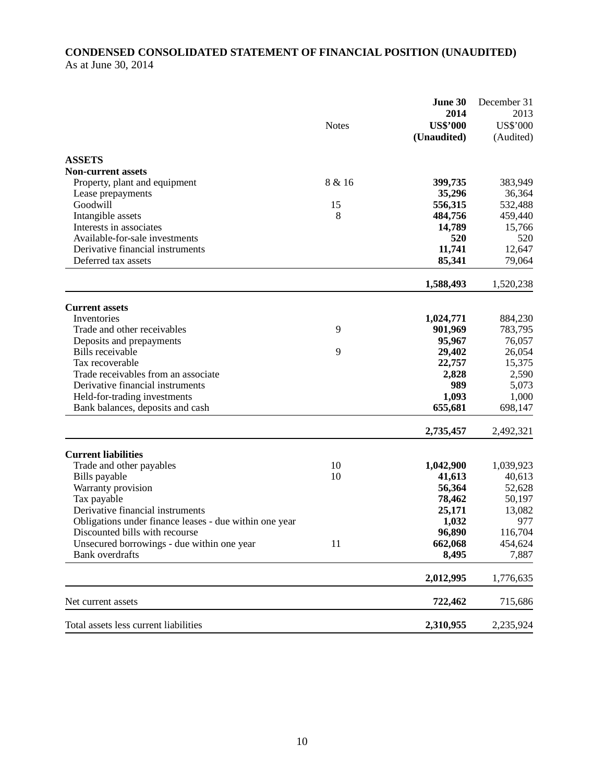## **CONDENSED CONSOLIDATED STATEMENT OF FINANCIAL POSITION (UNAUDITED)**  As at June 30, 2014

|                                                                      | <b>Notes</b> | June 30<br>2014<br><b>US\$'000</b><br>(Unaudited) | December 31<br>2013<br><b>US\$'000</b><br>(Audited) |
|----------------------------------------------------------------------|--------------|---------------------------------------------------|-----------------------------------------------------|
| <b>ASSETS</b>                                                        |              |                                                   |                                                     |
| <b>Non-current assets</b>                                            |              |                                                   |                                                     |
| Property, plant and equipment                                        | 8 & 16       | 399,735                                           | 383,949                                             |
| Lease prepayments                                                    |              | 35,296                                            | 36,364                                              |
| Goodwill                                                             | 15<br>8      | 556,315<br>484,756                                | 532,488<br>459,440                                  |
| Intangible assets<br>Interests in associates                         |              | 14,789                                            | 15,766                                              |
| Available-for-sale investments                                       |              | 520                                               | 520                                                 |
| Derivative financial instruments                                     |              | 11,741                                            | 12,647                                              |
| Deferred tax assets                                                  |              | 85,341                                            | 79,064                                              |
|                                                                      |              | 1,588,493                                         | 1,520,238                                           |
|                                                                      |              |                                                   |                                                     |
| <b>Current assets</b><br>Inventories                                 |              | 1,024,771                                         | 884,230                                             |
| Trade and other receivables                                          | 9            | 901,969                                           | 783,795                                             |
| Deposits and prepayments                                             |              | 95,967                                            | 76,057                                              |
| Bills receivable                                                     | 9            | 29,402                                            | 26,054                                              |
| Tax recoverable                                                      |              | 22,757                                            | 15,375                                              |
| Trade receivables from an associate                                  |              | 2,828                                             | 2,590                                               |
| Derivative financial instruments                                     |              | 989                                               | 5,073                                               |
| Held-for-trading investments                                         |              | 1,093                                             | 1,000                                               |
| Bank balances, deposits and cash                                     |              | 655,681                                           | 698,147                                             |
|                                                                      |              | 2,735,457                                         | 2,492,321                                           |
| <b>Current liabilities</b>                                           |              |                                                   |                                                     |
| Trade and other payables                                             | 10           | 1,042,900                                         | 1,039,923                                           |
| Bills payable                                                        | 10           | 41,613                                            | 40,613                                              |
| Warranty provision                                                   |              | 56,364                                            | 52,628                                              |
| Tax payable                                                          |              | 78,462                                            | 50,197                                              |
| Derivative financial instruments                                     |              | 25,171                                            | 13,082                                              |
| Obligations under finance leases - due within one year               |              | 1,032                                             | 977                                                 |
| Discounted bills with recourse                                       |              | 96,890                                            | 116,704                                             |
| Unsecured borrowings - due within one year<br><b>Bank</b> overdrafts | 11           | 662,068<br>8,495                                  | 454,624<br>7,887                                    |
|                                                                      |              |                                                   |                                                     |
|                                                                      |              | 2,012,995                                         | 1,776,635                                           |
| Net current assets                                                   |              | 722,462                                           | 715,686                                             |
| Total assets less current liabilities                                |              | 2,310,955                                         | 2,235,924                                           |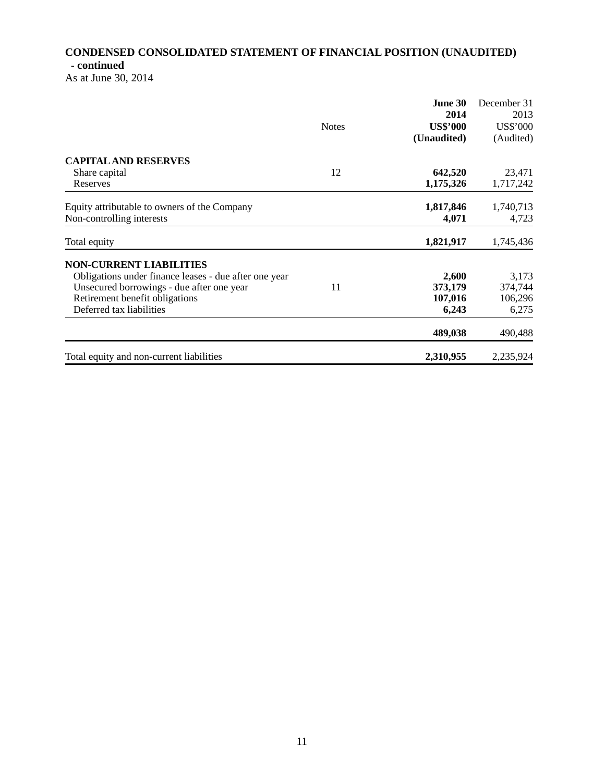## **CONDENSED CONSOLIDATED STATEMENT OF FINANCIAL POSITION (UNAUDITED) - continued**

As at June 30, 2014

|                                                       |              | June 30         | December 31 |
|-------------------------------------------------------|--------------|-----------------|-------------|
|                                                       |              | 2014            | 2013        |
|                                                       | <b>Notes</b> | <b>US\$'000</b> | US\$'000    |
|                                                       |              | (Unaudited)     | (Audited)   |
| <b>CAPITAL AND RESERVES</b>                           |              |                 |             |
| Share capital                                         | 12           | 642,520         | 23,471      |
| Reserves                                              |              | 1,175,326       | 1,717,242   |
| Equity attributable to owners of the Company          |              | 1,817,846       | 1,740,713   |
| Non-controlling interests                             |              | 4,071           | 4,723       |
| Total equity                                          |              | 1,821,917       | 1,745,436   |
| <b>NON-CURRENT LIABILITIES</b>                        |              |                 |             |
| Obligations under finance leases - due after one year |              | 2,600           | 3,173       |
| Unsecured borrowings - due after one year             | 11           | 373,179         | 374,744     |
| Retirement benefit obligations                        |              | 107,016         | 106,296     |
| Deferred tax liabilities                              |              | 6,243           | 6,275       |
|                                                       |              | 489,038         | 490,488     |
| Total equity and non-current liabilities              |              | 2,310,955       | 2,235,924   |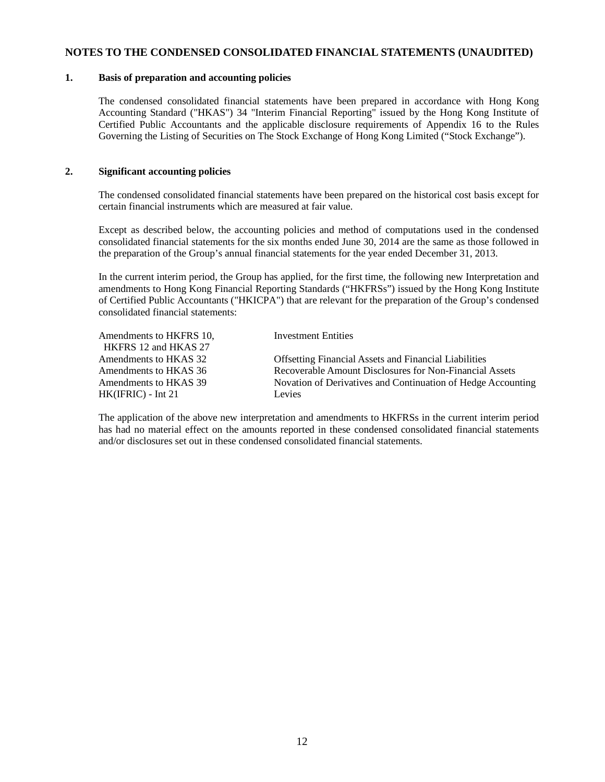#### **NOTES TO THE CONDENSED CONSOLIDATED FINANCIAL STATEMENTS (UNAUDITED)**

#### **1. Basis of preparation and accounting policies**

The condensed consolidated financial statements have been prepared in accordance with Hong Kong Accounting Standard ("HKAS") 34 "Interim Financial Reporting" issued by the Hong Kong Institute of Certified Public Accountants and the applicable disclosure requirements of Appendix 16 to the Rules Governing the Listing of Securities on The Stock Exchange of Hong Kong Limited ("Stock Exchange").

### **2. Significant accounting policies**

The condensed consolidated financial statements have been prepared on the historical cost basis except for certain financial instruments which are measured at fair value.

Except as described below, the accounting policies and method of computations used in the condensed consolidated financial statements for the six months ended June 30, 2014 are the same as those followed in the preparation of the Group's annual financial statements for the year ended December 31, 2013.

In the current interim period, the Group has applied, for the first time, the following new Interpretation and amendments to Hong Kong Financial Reporting Standards ("HKFRSs") issued by the Hong Kong Institute of Certified Public Accountants ("HKICPA") that are relevant for the preparation of the Group's condensed consolidated financial statements:

| Amendments to HKFRS 10, | <b>Investment Entities</b>                                   |
|-------------------------|--------------------------------------------------------------|
| HKFRS 12 and HKAS 27    |                                                              |
| Amendments to HKAS 32   | <b>Offsetting Financial Assets and Financial Liabilities</b> |
| Amendments to HKAS 36   | Recoverable Amount Disclosures for Non-Financial Assets      |
| Amendments to HKAS 39   | Novation of Derivatives and Continuation of Hedge Accounting |
| $HK(IFRIC) - Int 21$    | Levies                                                       |

The application of the above new interpretation and amendments to HKFRSs in the current interim period has had no material effect on the amounts reported in these condensed consolidated financial statements and/or disclosures set out in these condensed consolidated financial statements.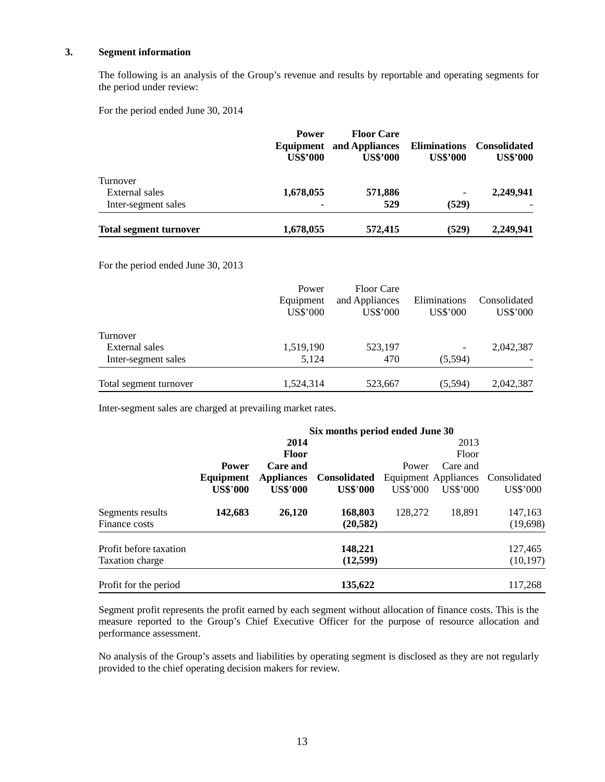#### **3. Segment information**

The following is an analysis of the Group's revenue and results by reportable and operating segments for the period under review:

For the period ended June 30, 2014

|                               | <b>Power</b><br>Equipment<br><b>US\$'000</b> | <b>Floor Care</b><br>and Appliances<br><b>US\$'000</b> | <b>Eliminations</b><br><b>US\$'000</b> | <b>Consolidated</b><br><b>US\$'000</b> |
|-------------------------------|----------------------------------------------|--------------------------------------------------------|----------------------------------------|----------------------------------------|
| Turnover                      |                                              |                                                        |                                        |                                        |
| External sales                | 1,678,055                                    | 571,886                                                | $\overline{\phantom{a}}$               | 2,249,941                              |
| Inter-segment sales           |                                              | 529                                                    | (529)                                  |                                        |
| <b>Total segment turnover</b> | 1,678,055                                    | 572,415                                                | (529)                                  | 2,249,941                              |

For the period ended June 30, 2013

|                        | Power<br>Equipment<br>US\$'000 | <b>Floor Care</b><br>and Appliances<br><b>US\$'000</b> | Eliminations<br>US\$'000 | Consolidated<br><b>US\$'000</b> |
|------------------------|--------------------------------|--------------------------------------------------------|--------------------------|---------------------------------|
| Turnover               |                                |                                                        |                          |                                 |
| External sales         | 1,519,190                      | 523,197                                                |                          | 2,042,387                       |
| Inter-segment sales    | 5.124                          | 470                                                    | (5,594)                  |                                 |
| Total segment turnover | 1,524,314                      | 523,667                                                | (5,594)                  | 2,042,387                       |

Inter-segment sales are charged at prevailing market rates.

|                        | Six months period ended June 30 |                   |                     |          |                             |                 |
|------------------------|---------------------------------|-------------------|---------------------|----------|-----------------------------|-----------------|
|                        |                                 | 2014              |                     |          | 2013                        |                 |
|                        |                                 | <b>Floor</b>      |                     |          | Floor                       |                 |
|                        | <b>Power</b>                    | <b>Care and</b>   |                     | Power    | Care and                    |                 |
|                        | Equipment                       | <b>Appliances</b> | <b>Consolidated</b> |          | <b>Equipment Appliances</b> | Consolidated    |
|                        | <b>US\$'000</b>                 | <b>US\$'000</b>   | <b>US\$'000</b>     | US\$'000 | US\$'000                    | <b>US\$'000</b> |
| Segments results       | 142,683                         | 26,120            | 168,803             | 128,272  | 18,891                      | 147,163         |
| Finance costs          |                                 |                   | (20, 582)           |          |                             | (19,698)        |
| Profit before taxation |                                 |                   | 148,221             |          |                             | 127,465         |
| <b>Taxation charge</b> |                                 |                   | (12,599)            |          |                             | (10, 197)       |
| Profit for the period  |                                 |                   | 135,622             |          |                             | 117,268         |

Segment profit represents the profit earned by each segment without allocation of finance costs. This is the measure reported to the Group's Chief Executive Officer for the purpose of resource allocation and performance assessment.

 No analysis of the Group's assets and liabilities by operating segment is disclosed as they are not regularly provided to the chief operating decision makers for review.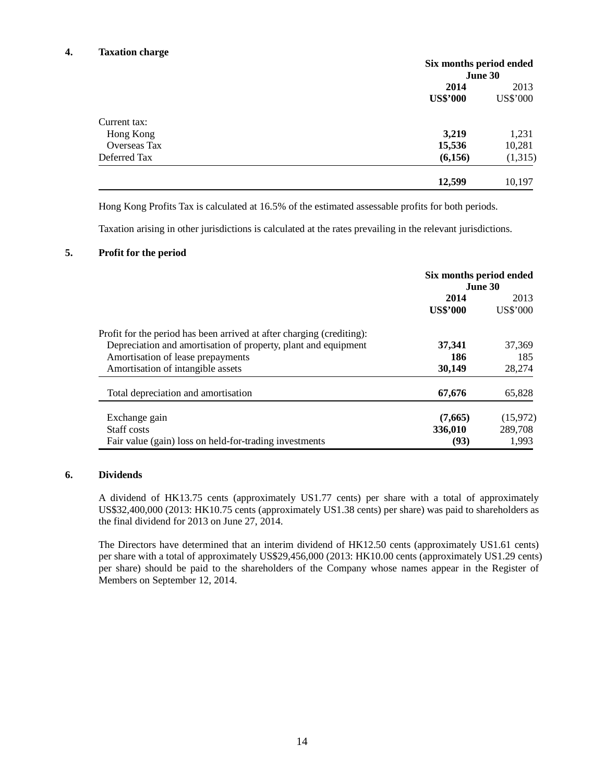## **4. Taxation charge**

|                     | Six months period ended |          |
|---------------------|-------------------------|----------|
|                     |                         | June 30  |
|                     | 2014                    | 2013     |
|                     | <b>US\$'000</b>         | US\$'000 |
| Current tax:        |                         |          |
| Hong Kong           | 3,219                   | 1,231    |
| <b>Overseas Tax</b> | 15,536                  | 10,281   |
| Deferred Tax        | (6,156)                 | (1,315)  |
|                     | 12,599                  | 10,197   |

Hong Kong Profits Tax is calculated at 16.5% of the estimated assessable profits for both periods.

Taxation arising in other jurisdictions is calculated at the rates prevailing in the relevant jurisdictions.

#### **5. Profit for the period**

|                                                                       | Six months period ended<br><b>June 30</b> |          |  |
|-----------------------------------------------------------------------|-------------------------------------------|----------|--|
|                                                                       | 2014                                      | 2013     |  |
|                                                                       | <b>US\$'000</b>                           | US\$'000 |  |
| Profit for the period has been arrived at after charging (crediting): |                                           |          |  |
| Depreciation and amortisation of property, plant and equipment        | 37,341                                    | 37,369   |  |
| Amortisation of lease prepayments                                     | 186                                       | 185      |  |
| Amortisation of intangible assets                                     | 30,149                                    | 28,274   |  |
| Total depreciation and amortisation                                   | 67,676                                    | 65,828   |  |
| Exchange gain                                                         | (7,665)                                   | (15,972) |  |
| Staff costs                                                           | 336,010                                   | 289,708  |  |
| Fair value (gain) loss on held-for-trading investments                | (93)                                      | 1,993    |  |

#### **6. Dividends**

A dividend of HK13.75 cents (approximately US1.77 cents) per share with a total of approximately US\$32,400,000 (2013: HK10.75 cents (approximately US1.38 cents) per share) was paid to shareholders as the final dividend for 2013 on June 27, 2014.

The Directors have determined that an interim dividend of HK12.50 cents (approximately US1.61 cents) per share with a total of approximately US\$29,456,000 (2013: HK10.00 cents (approximately US1.29 cents) per share) should be paid to the shareholders of the Company whose names appear in the Register of Members on September 12, 2014.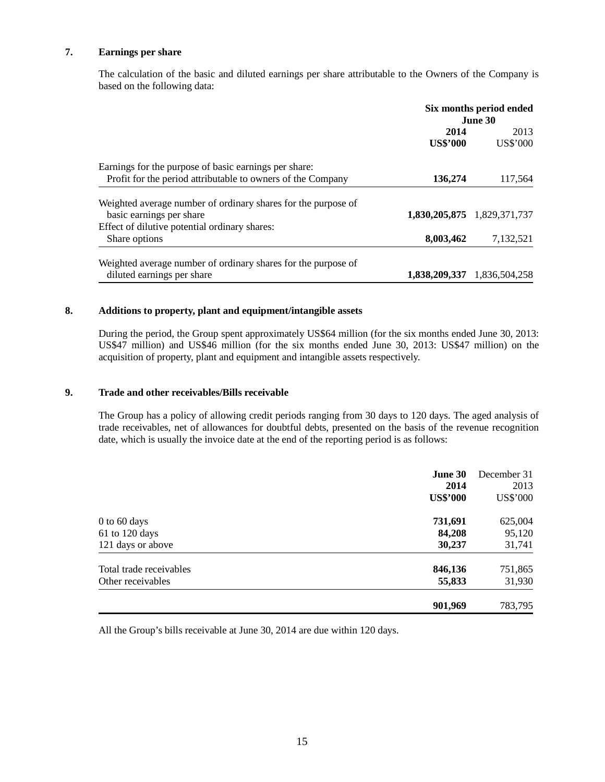### **7. Earnings per share**

The calculation of the basic and diluted earnings per share attributable to the Owners of the Company is based on the following data:

|                                                                                           | Six months period ended<br>June 30 |                             |
|-------------------------------------------------------------------------------------------|------------------------------------|-----------------------------|
|                                                                                           | 2014<br><b>US\$'000</b>            | 2013<br>US\$'000            |
| Earnings for the purpose of basic earnings per share:                                     |                                    |                             |
| Profit for the period attributable to owners of the Company                               | 136,274                            | 117,564                     |
| Weighted average number of ordinary shares for the purpose of<br>basic earnings per share |                                    | 1,830,205,875 1,829,371,737 |
| Effect of dilutive potential ordinary shares:                                             |                                    |                             |
| Share options                                                                             | 8,003,462                          | 7,132,521                   |
| Weighted average number of ordinary shares for the purpose of                             |                                    |                             |
| diluted earnings per share                                                                |                                    | 1,838,209,337 1,836,504,258 |

## **8. Additions to property, plant and equipment/intangible assets**

During the period, the Group spent approximately US\$64 million (for the six months ended June 30, 2013: US\$47 million) and US\$46 million (for the six months ended June 30, 2013: US\$47 million) on the acquisition of property, plant and equipment and intangible assets respectively.

## **9. Trade and other receivables/Bills receivable**

The Group has a policy of allowing credit periods ranging from 30 days to 120 days. The aged analysis of trade receivables, net of allowances for doubtful debts, presented on the basis of the revenue recognition date, which is usually the invoice date at the end of the reporting period is as follows:

|                         | June 30<br>2014<br><b>US\$'000</b> | December 31<br>2013<br><b>US\$'000</b> |
|-------------------------|------------------------------------|----------------------------------------|
| $0$ to 60 days          | 731,691                            | 625,004                                |
| 61 to 120 days          | 84,208                             | 95,120                                 |
| 121 days or above       | 30,237                             | 31,741                                 |
| Total trade receivables | 846,136                            | 751,865                                |
| Other receivables       | 55,833                             | 31,930                                 |
|                         | 901,969                            | 783,795                                |

All the Group's bills receivable at June 30, 2014 are due within 120 days.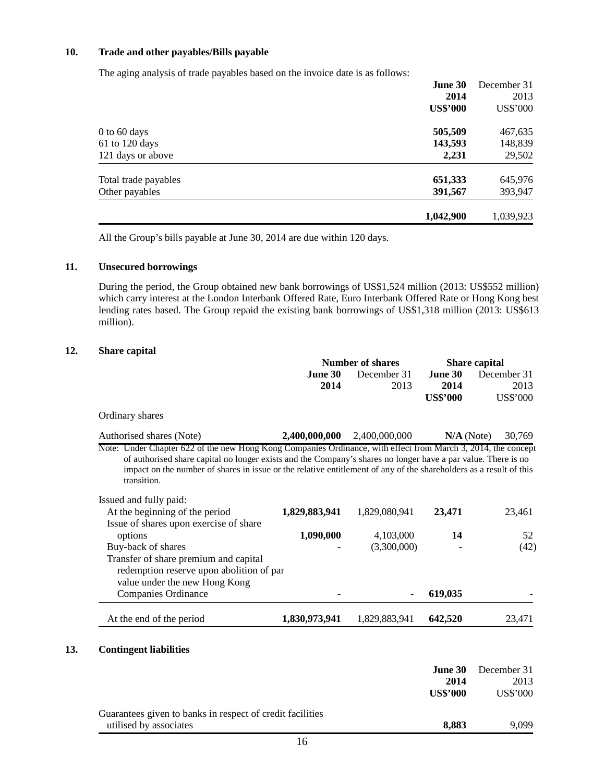## **10. Trade and other payables/Bills payable**

The aging analysis of trade payables based on the invoice date is as follows:

|                      | 1,042,900       | 1,039,923       |
|----------------------|-----------------|-----------------|
| Other payables       | 391,567         | 393,947         |
| Total trade payables | 651,333         | 645,976         |
| 121 days or above    | 2,231           | 29,502          |
| $61$ to 120 days     | 143,593         | 148,839         |
| $0$ to 60 days       | 505,509         | 467,635         |
|                      | <b>US\$'000</b> | <b>US\$'000</b> |
|                      | 2014            | 2013            |
|                      | June 30         | December 31     |

All the Group's bills payable at June 30, 2014 are due within 120 days.

## **11. Unsecured borrowings**

During the period, the Group obtained new bank borrowings of US\$1,524 million (2013: US\$552 million) which carry interest at the London Interbank Offered Rate, Euro Interbank Offered Rate or Hong Kong best lending rates based. The Group repaid the existing bank borrowings of US\$1,318 million (2013: US\$613 million).

#### **12. Share capital**

|                                                                                                                                                                                                                                                                                                                                                                     | <b>Number of shares</b> |               | <b>Share capital</b> |                 |
|---------------------------------------------------------------------------------------------------------------------------------------------------------------------------------------------------------------------------------------------------------------------------------------------------------------------------------------------------------------------|-------------------------|---------------|----------------------|-----------------|
|                                                                                                                                                                                                                                                                                                                                                                     | June 30                 | December 31   | June 30              | December 31     |
|                                                                                                                                                                                                                                                                                                                                                                     | 2014                    | 2013          | 2014                 | 2013            |
|                                                                                                                                                                                                                                                                                                                                                                     |                         |               | <b>US\$'000</b>      | <b>US\$'000</b> |
| Ordinary shares                                                                                                                                                                                                                                                                                                                                                     |                         |               |                      |                 |
| Authorised shares (Note)                                                                                                                                                                                                                                                                                                                                            | 2,400,000,000           | 2,400,000,000 | $N/A$ (Note)         | 30,769          |
| Note: Under Chapter 622 of the new Hong Kong Companies Ordinance, with effect from March 3, 2014, the concept<br>of authorised share capital no longer exists and the Company's shares no longer have a par value. There is no<br>impact on the number of shares in issue or the relative entitlement of any of the shareholders as a result of this<br>transition. |                         |               |                      |                 |
| Issued and fully paid:                                                                                                                                                                                                                                                                                                                                              |                         |               |                      |                 |
| At the beginning of the period                                                                                                                                                                                                                                                                                                                                      | 1,829,883,941           | 1,829,080,941 | 23,471               | 23,461          |
| Issue of shares upon exercise of share                                                                                                                                                                                                                                                                                                                              |                         |               |                      |                 |
| options                                                                                                                                                                                                                                                                                                                                                             | 1,090,000               | 4,103,000     | 14                   | 52              |
| Buy-back of shares                                                                                                                                                                                                                                                                                                                                                  |                         | (3,300,000)   |                      | (42)            |
| Transfer of share premium and capital                                                                                                                                                                                                                                                                                                                               |                         |               |                      |                 |
| redemption reserve upon abolition of par                                                                                                                                                                                                                                                                                                                            |                         |               |                      |                 |
|                                                                                                                                                                                                                                                                                                                                                                     |                         |               |                      |                 |
| value under the new Hong Kong                                                                                                                                                                                                                                                                                                                                       |                         |               |                      |                 |
| Companies Ordinance                                                                                                                                                                                                                                                                                                                                                 |                         |               | 619,035              |                 |

| Guarantees given to banks in respect of credit facilities |       |       |
|-----------------------------------------------------------|-------|-------|
| utilised by associates                                    | 8.883 | 9.099 |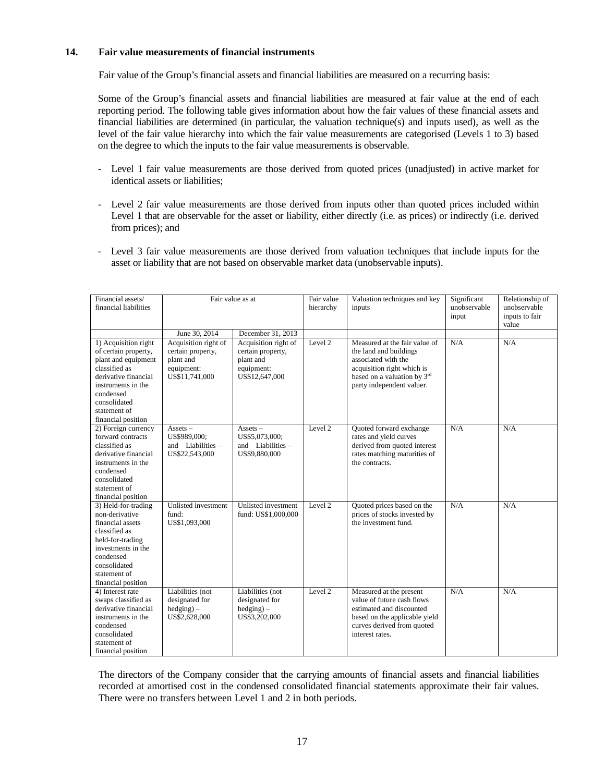#### **14. Fair value measurements of financial instruments**

Fair value of the Group's financial assets and financial liabilities are measured on a recurring basis:

Some of the Group's financial assets and financial liabilities are measured at fair value at the end of each reporting period. The following table gives information about how the fair values of these financial assets and financial liabilities are determined (in particular, the valuation technique(s) and inputs used), as well as the level of the fair value hierarchy into which the fair value measurements are categorised (Levels 1 to 3) based on the degree to which the inputs to the fair value measurements is observable.

- Level 1 fair value measurements are those derived from quoted prices (unadjusted) in active market for identical assets or liabilities;
- Level 2 fair value measurements are those derived from inputs other than quoted prices included within Level 1 that are observable for the asset or liability, either directly (i.e. as prices) or indirectly (i.e. derived from prices); and
- Level 3 fair value measurements are those derived from valuation techniques that include inputs for the asset or liability that are not based on observable market data (unobservable inputs).

| Financial assets/<br>financial liabilities                                                                                                                                                            | Fair value as at                                                                       |                                                                                        | Fair value<br>hierarchy | Valuation techniques and key<br>inputs                                                                                                                                   | Significant<br>unobservable<br>input | Relationship of<br>unobservable<br>inputs to fair<br>value |
|-------------------------------------------------------------------------------------------------------------------------------------------------------------------------------------------------------|----------------------------------------------------------------------------------------|----------------------------------------------------------------------------------------|-------------------------|--------------------------------------------------------------------------------------------------------------------------------------------------------------------------|--------------------------------------|------------------------------------------------------------|
|                                                                                                                                                                                                       | June 30, 2014                                                                          | December 31, 2013                                                                      |                         |                                                                                                                                                                          |                                      |                                                            |
| 1) Acquisition right<br>of certain property,<br>plant and equipment<br>classified as<br>derivative financial<br>instruments in the<br>condensed<br>consolidated<br>statement of<br>financial position | Acquisition right of<br>certain property,<br>plant and<br>equipment:<br>US\$11,741,000 | Acquisition right of<br>certain property,<br>plant and<br>equipment:<br>US\$12,647,000 | Level 2                 | Measured at the fair value of<br>the land and buildings<br>associated with the<br>acquisition right which is<br>based on a valuation by 3rd<br>party independent valuer. | N/A                                  | N/A                                                        |
| 2) Foreign currency<br>forward contracts<br>classified as<br>derivative financial<br>instruments in the<br>condensed<br>consolidated<br>statement of<br>financial position                            | $Assets -$<br>US\$989,000;<br>and Liabilities $-$<br>US\$22,543,000                    | $\overline{\text{Assets}}$ –<br>US\$5,073,000;<br>and Liabilities $-$<br>US\$9,880,000 | Level 2                 | Quoted forward exchange<br>rates and yield curves<br>derived from quoted interest<br>rates matching maturities of<br>the contracts.                                      | N/A                                  | N/A                                                        |
| 3) Held-for-trading<br>non-derivative<br>financial assets<br>classified as<br>held-for-trading<br>investments in the<br>condensed<br>consolidated<br>statement of<br>financial position               | <b>Unlisted</b> investment<br>fund:<br>US\$1,093,000                                   | <b>Unlisted</b> investment<br>fund: US\$1,000,000                                      | Level $2$               | Quoted prices based on the<br>prices of stocks invested by<br>the investment fund.                                                                                       | N/A                                  | N/A                                                        |
| 4) Interest rate<br>swaps classified as<br>derivative financial<br>instruments in the<br>condensed<br>consolidated<br>statement of<br>financial position                                              | Liabilities (not<br>designated for<br>$hedging$ ) –<br>US\$2,628,000                   | Liabilities (not<br>designated for<br>$hedging$ –<br>US\$3,202,000                     | Level 2                 | Measured at the present<br>value of future cash flows<br>estimated and discounted<br>based on the applicable yield<br>curves derived from quoted<br>interest rates.      | N/A                                  | N/A                                                        |

The directors of the Company consider that the carrying amounts of financial assets and financial liabilities recorded at amortised cost in the condensed consolidated financial statements approximate their fair values. There were no transfers between Level 1 and 2 in both periods.